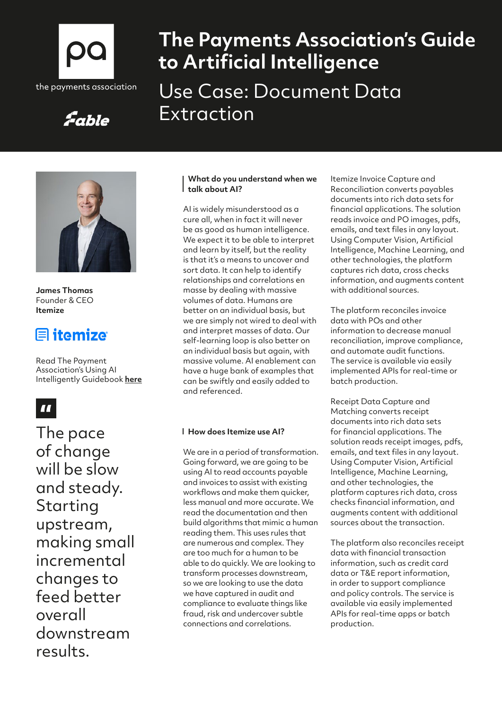

Fable

# **The Payments Association's Guide to Artificial Intelligence** Use Case: Document Data Extraction



**James Thomas**  Founder & CEO **Itemize**

## $\blacksquare$  itemize

Read The Payment Association's Using AI Intelligently Guidebook **[here](https://thepaymentsassociation.org/whitepaper/using-ai-intelligently-smart-ways-to-use-artificial-intelligence-in-payments/)**

## $\blacksquare$

The pace of change will be slow and steady. Starting upstream, making small incremental changes to feed better overall downstream results.

### **What do you understand when we talk about AI?**

AI is widely misunderstood as a cure all, when in fact it will never be as good as human intelligence. We expect it to be able to interpret and learn by itself, but the reality is that it's a means to uncover and sort data. It can help to identify relationships and correlations en masse by dealing with massive volumes of data. Humans are better on an individual basis, but we are simply not wired to deal with and interpret masses of data. Our self-learning loop is also better on an individual basis but again, with massive volume. AI enablement can have a huge bank of examples that can be swiftly and easily added to and referenced.

### **How does Itemize use AI?**

We are in a period of transformation. Going forward, we are going to be using AI to read accounts payable and invoices to assist with existing workflows and make them quicker, less manual and more accurate. We read the documentation and then build algorithms that mimic a human reading them. This uses rules that are numerous and complex. They are too much for a human to be able to do quickly. We are looking to transform processes downstream, so we are looking to use the data we have captured in audit and compliance to evaluate things like fraud, risk and undercover subtle connections and correlations.

Itemize Invoice Capture and Reconciliation converts payables documents into rich data sets for financial applications. The solution reads invoice and PO images, pdfs, emails, and text files in any layout. Using Computer Vision, Artificial Intelligence, Machine Learning, and other technologies, the platform captures rich data, cross checks information, and augments content with additional sources.

The platform reconciles invoice data with POs and other information to decrease manual reconciliation, improve compliance, and automate audit functions. The service is available via easily implemented APIs for real-time or batch production.

Receipt Data Capture and Matching converts receipt documents into rich data sets for financial applications. The solution reads receipt images, pdfs, emails, and text files in any layout. Using Computer Vision, Artificial Intelligence, Machine Learning, and other technologies, the platform captures rich data, cross checks financial information, and augments content with additional sources about the transaction.

The platform also reconciles receipt data with financial transaction information, such as credit card data or T&E report information, in order to support compliance and policy controls. The service is available via easily implemented APIs for real-time apps or batch production.